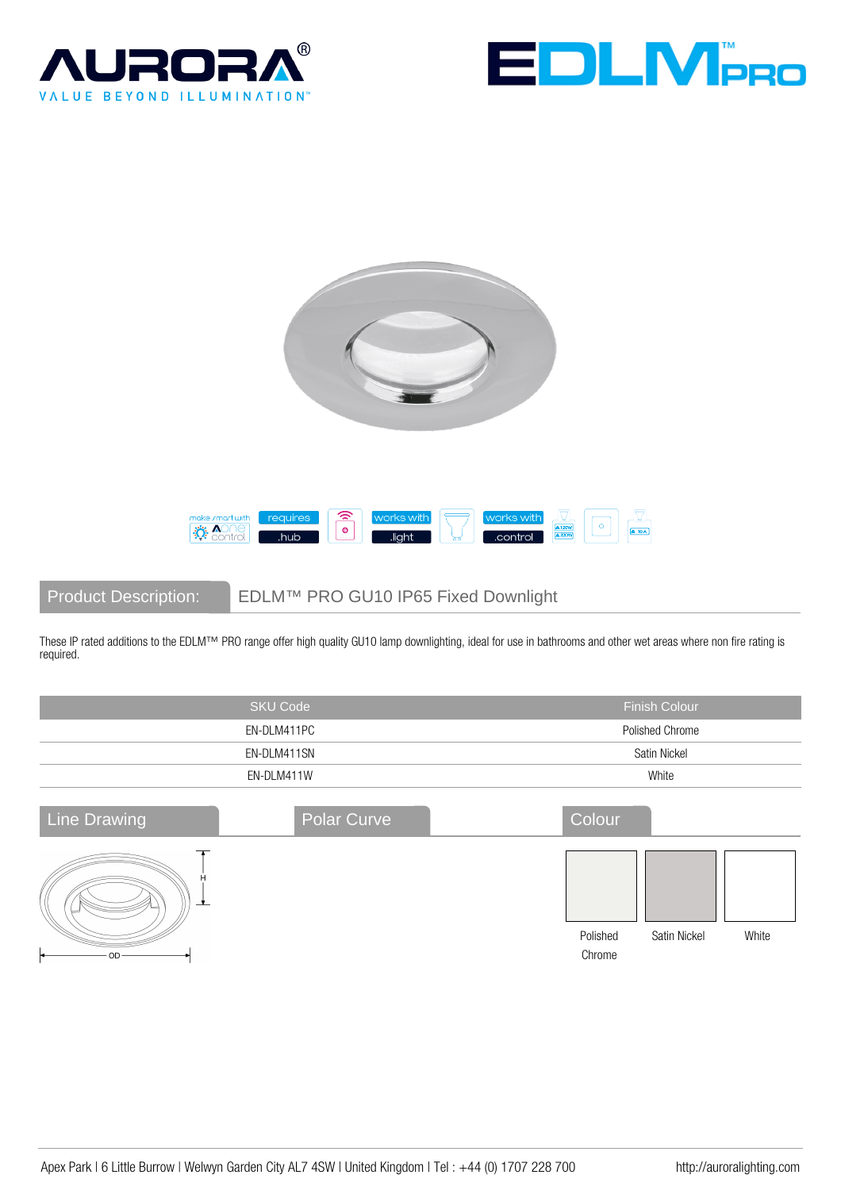







Product Description: EDLM™ PRO GU10 IP65 Fixed Downlight

These IP rated additions to the EDLM™ PRO range offer high quality GU10 lamp downlighting, ideal for use in bathrooms and other wet areas where non fire rating is required.